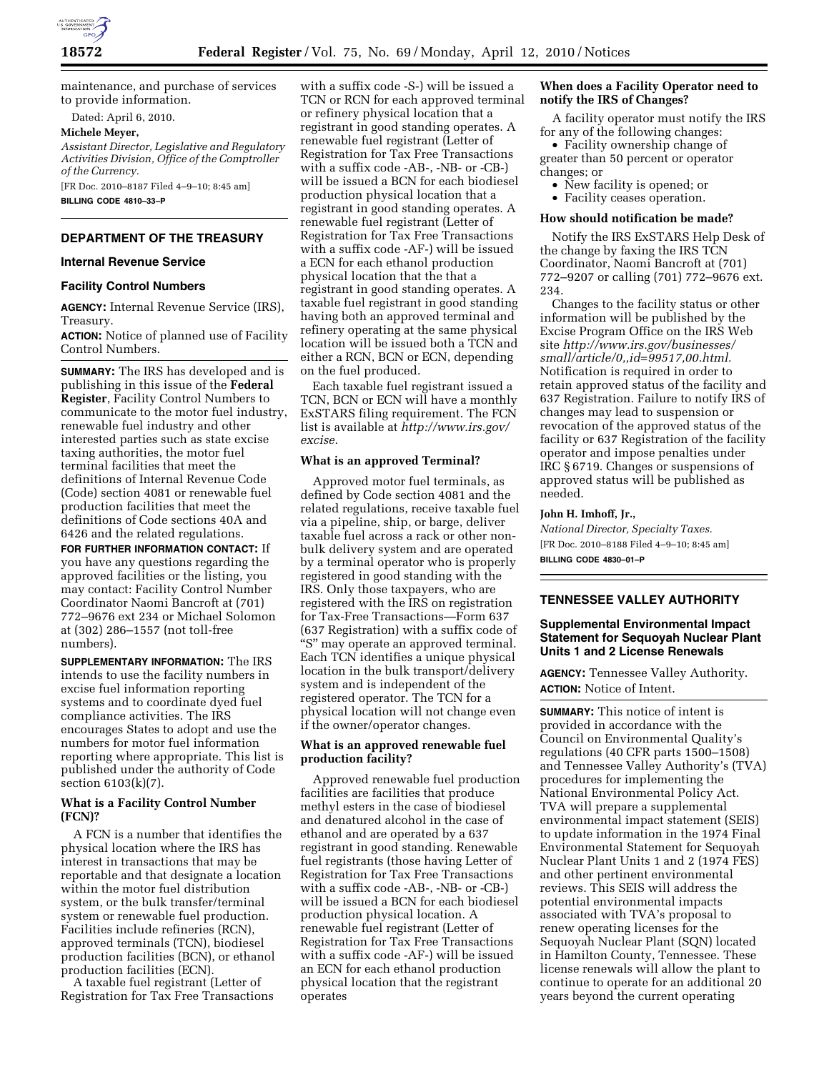

maintenance, and purchase of services to provide information.

Dated: April 6, 2010.

**Michele Meyer,** 

*Assistant Director, Legislative and Regulatory Activities Division, Office of the Comptroller of the Currency.* 

[FR Doc. 2010–8187 Filed 4–9–10; 8:45 am] **BILLING CODE 4810–33–P** 

# **DEPARTMENT OF THE TREASURY**

## **Internal Revenue Service**

#### **Facility Control Numbers**

**AGENCY:** Internal Revenue Service (IRS), Treasury.

**ACTION:** Notice of planned use of Facility Control Numbers.

**SUMMARY:** The IRS has developed and is publishing in this issue of the **Federal Register**, Facility Control Numbers to communicate to the motor fuel industry, renewable fuel industry and other interested parties such as state excise taxing authorities, the motor fuel terminal facilities that meet the definitions of Internal Revenue Code (Code) section 4081 or renewable fuel production facilities that meet the definitions of Code sections 40A and 6426 and the related regulations.

**FOR FURTHER INFORMATION CONTACT:** If you have any questions regarding the approved facilities or the listing, you may contact: Facility Control Number Coordinator Naomi Bancroft at (701) 772–9676 ext 234 or Michael Solomon at (302) 286–1557 (not toll-free numbers).

**SUPPLEMENTARY INFORMATION:** The IRS intends to use the facility numbers in excise fuel information reporting systems and to coordinate dyed fuel compliance activities. The IRS encourages States to adopt and use the numbers for motor fuel information reporting where appropriate. This list is published under the authority of Code section 6103(k)(7).

## **What is a Facility Control Number (FCN)?**

A FCN is a number that identifies the physical location where the IRS has interest in transactions that may be reportable and that designate a location within the motor fuel distribution system, or the bulk transfer/terminal system or renewable fuel production. Facilities include refineries (RCN), approved terminals (TCN), biodiesel production facilities (BCN), or ethanol production facilities (ECN).

A taxable fuel registrant (Letter of Registration for Tax Free Transactions with a suffix code -S-) will be issued a TCN or RCN for each approved terminal or refinery physical location that a registrant in good standing operates. A renewable fuel registrant (Letter of Registration for Tax Free Transactions with a suffix code -AB-, -NB- or -CB-) will be issued a BCN for each biodiesel production physical location that a registrant in good standing operates. A renewable fuel registrant (Letter of Registration for Tax Free Transactions with a suffix code -AF-) will be issued a ECN for each ethanol production physical location that the that a registrant in good standing operates. A taxable fuel registrant in good standing having both an approved terminal and refinery operating at the same physical location will be issued both a TCN and either a RCN, BCN or ECN, depending on the fuel produced.

Each taxable fuel registrant issued a TCN, BCN or ECN will have a monthly ExSTARS filing requirement. The FCN list is available at *http://www.irs.gov/ excise.* 

#### **What is an approved Terminal?**

Approved motor fuel terminals, as defined by Code section 4081 and the related regulations, receive taxable fuel via a pipeline, ship, or barge, deliver taxable fuel across a rack or other nonbulk delivery system and are operated by a terminal operator who is properly registered in good standing with the IRS. Only those taxpayers, who are registered with the IRS on registration for Tax-Free Transactions—Form 637 (637 Registration) with a suffix code of "S" may operate an approved terminal. Each TCN identifies a unique physical location in the bulk transport/delivery system and is independent of the registered operator. The TCN for a physical location will not change even if the owner/operator changes.

# **What is an approved renewable fuel production facility?**

Approved renewable fuel production facilities are facilities that produce methyl esters in the case of biodiesel and denatured alcohol in the case of ethanol and are operated by a 637 registrant in good standing. Renewable fuel registrants (those having Letter of Registration for Tax Free Transactions with a suffix code -AB-, -NB- or -CB-) will be issued a BCN for each biodiesel production physical location. A renewable fuel registrant (Letter of Registration for Tax Free Transactions with a suffix code -AF-) will be issued an ECN for each ethanol production physical location that the registrant operates

### **When does a Facility Operator need to notify the IRS of Changes?**

A facility operator must notify the IRS for any of the following changes:

• Facility ownership change of greater than 50 percent or operator changes; or

- New facility is opened; or
- Facility ceases operation.

#### **How should notification be made?**

Notify the IRS ExSTARS Help Desk of the change by faxing the IRS TCN Coordinator, Naomi Bancroft at (701) 772–9207 or calling (701) 772–9676 ext. 234.

Changes to the facility status or other information will be published by the Excise Program Office on the IRS Web site *http://www.irs.gov/businesses/ small/article/0,,id=99517,00.html.*  Notification is required in order to retain approved status of the facility and 637 Registration. Failure to notify IRS of changes may lead to suspension or revocation of the approved status of the facility or 637 Registration of the facility operator and impose penalties under IRC § 6719. Changes or suspensions of approved status will be published as needed.

#### **John H. Imhoff, Jr.,**

*National Director, Specialty Taxes.*  [FR Doc. 2010–8188 Filed 4–9–10; 8:45 am] **BILLING CODE 4830–01–P** 

#### **TENNESSEE VALLEY AUTHORITY**

## **Supplemental Environmental Impact Statement for Sequoyah Nuclear Plant Units 1 and 2 License Renewals**

**AGENCY:** Tennessee Valley Authority. **ACTION:** Notice of Intent.

**SUMMARY:** This notice of intent is provided in accordance with the Council on Environmental Quality's regulations (40 CFR parts 1500–1508) and Tennessee Valley Authority's (TVA) procedures for implementing the National Environmental Policy Act. TVA will prepare a supplemental environmental impact statement (SEIS) to update information in the 1974 Final Environmental Statement for Sequoyah Nuclear Plant Units 1 and 2 (1974 FES) and other pertinent environmental reviews. This SEIS will address the potential environmental impacts associated with TVA's proposal to renew operating licenses for the Sequoyah Nuclear Plant (SQN) located in Hamilton County, Tennessee. These license renewals will allow the plant to continue to operate for an additional 20 years beyond the current operating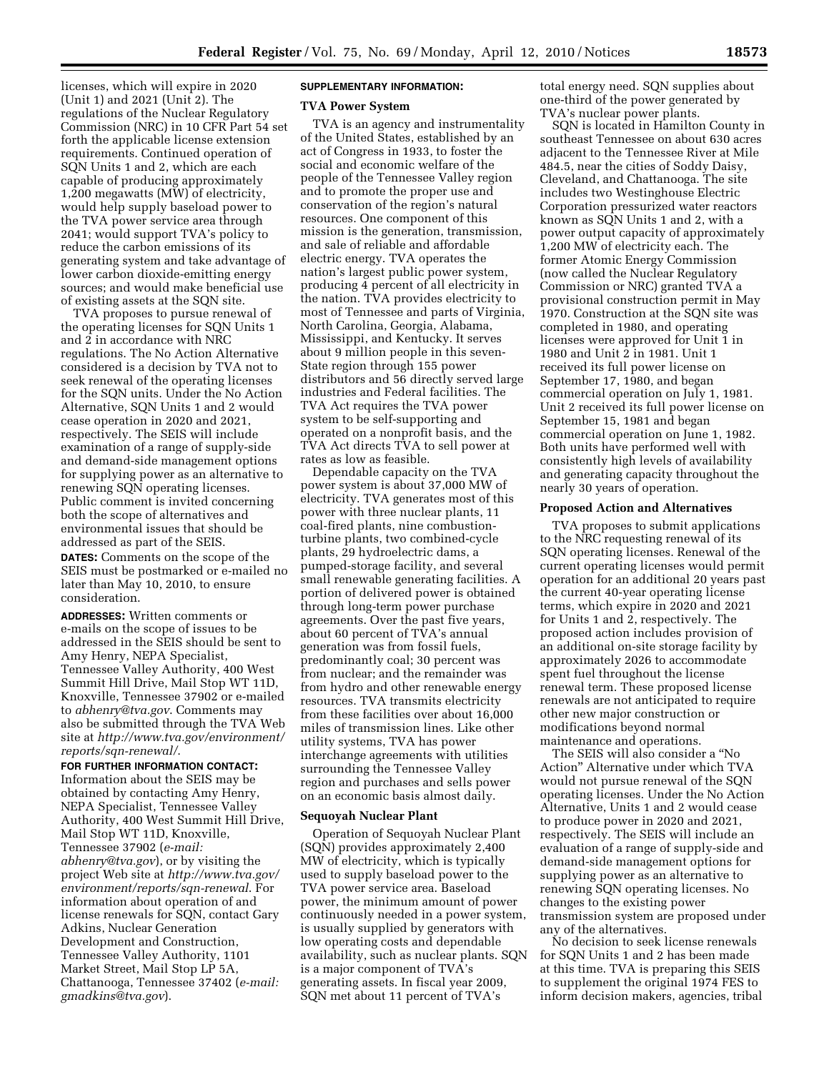licenses, which will expire in 2020 (Unit 1) and 2021 (Unit 2). The regulations of the Nuclear Regulatory Commission (NRC) in 10 CFR Part 54 set forth the applicable license extension requirements. Continued operation of SQN Units 1 and 2, which are each capable of producing approximately 1,200 megawatts (MW) of electricity, would help supply baseload power to the TVA power service area through 2041; would support TVA's policy to reduce the carbon emissions of its generating system and take advantage of lower carbon dioxide-emitting energy sources; and would make beneficial use of existing assets at the SQN site.

TVA proposes to pursue renewal of the operating licenses for SQN Units 1 and 2 in accordance with NRC regulations. The No Action Alternative considered is a decision by TVA not to seek renewal of the operating licenses for the SQN units. Under the No Action Alternative, SQN Units 1 and 2 would cease operation in 2020 and 2021, respectively. The SEIS will include examination of a range of supply-side and demand-side management options for supplying power as an alternative to renewing SQN operating licenses. Public comment is invited concerning both the scope of alternatives and environmental issues that should be addressed as part of the SEIS.

**DATES:** Comments on the scope of the SEIS must be postmarked or e-mailed no later than May 10, 2010, to ensure consideration.

**ADDRESSES:** Written comments or e-mails on the scope of issues to be addressed in the SEIS should be sent to Amy Henry, NEPA Specialist, Tennessee Valley Authority, 400 West Summit Hill Drive, Mail Stop WT 11D, Knoxville, Tennessee 37902 or e-mailed to *abhenry@tva.gov*. Comments may also be submitted through the TVA Web site at *http://www.tva.gov/environment/ reports/sqn-renewal/*.

# **FOR FURTHER INFORMATION CONTACT:**

Information about the SEIS may be obtained by contacting Amy Henry, NEPA Specialist, Tennessee Valley Authority, 400 West Summit Hill Drive, Mail Stop WT 11D, Knoxville, Tennessee 37902 (*e-mail: abhenry@tva.gov*), or by visiting the project Web site at *http://www.tva.gov/ environment/reports/sqn-renewal*. For information about operation of and license renewals for SQN, contact Gary Adkins, Nuclear Generation Development and Construction, Tennessee Valley Authority, 1101 Market Street, Mail Stop LP 5A, Chattanooga, Tennessee 37402 (*e-mail: gmadkins@tva.gov*).

# **SUPPLEMENTARY INFORMATION:**

#### **TVA Power System**

TVA is an agency and instrumentality of the United States, established by an act of Congress in 1933, to foster the social and economic welfare of the people of the Tennessee Valley region and to promote the proper use and conservation of the region's natural resources. One component of this mission is the generation, transmission, and sale of reliable and affordable electric energy. TVA operates the nation's largest public power system, producing 4 percent of all electricity in the nation. TVA provides electricity to most of Tennessee and parts of Virginia, North Carolina, Georgia, Alabama, Mississippi, and Kentucky. It serves about 9 million people in this seven-State region through 155 power distributors and 56 directly served large industries and Federal facilities. The TVA Act requires the TVA power system to be self-supporting and operated on a nonprofit basis, and the TVA Act directs TVA to sell power at rates as low as feasible.

Dependable capacity on the TVA power system is about 37,000 MW of electricity. TVA generates most of this power with three nuclear plants, 11 coal-fired plants, nine combustionturbine plants, two combined-cycle plants, 29 hydroelectric dams, a pumped-storage facility, and several small renewable generating facilities. A portion of delivered power is obtained through long-term power purchase agreements. Over the past five years, about 60 percent of TVA's annual generation was from fossil fuels, predominantly coal; 30 percent was from nuclear; and the remainder was from hydro and other renewable energy resources. TVA transmits electricity from these facilities over about 16,000 miles of transmission lines. Like other utility systems, TVA has power interchange agreements with utilities surrounding the Tennessee Valley region and purchases and sells power on an economic basis almost daily.

## **Sequoyah Nuclear Plant**

Operation of Sequoyah Nuclear Plant (SQN) provides approximately 2,400 MW of electricity, which is typically used to supply baseload power to the TVA power service area. Baseload power, the minimum amount of power continuously needed in a power system, is usually supplied by generators with low operating costs and dependable availability, such as nuclear plants. SQN is a major component of TVA's generating assets. In fiscal year 2009, SQN met about 11 percent of TVA's

total energy need. SQN supplies about one-third of the power generated by TVA's nuclear power plants.

SQN is located in Hamilton County in southeast Tennessee on about 630 acres adjacent to the Tennessee River at Mile 484.5, near the cities of Soddy Daisy, Cleveland, and Chattanooga. The site includes two Westinghouse Electric Corporation pressurized water reactors known as SQN Units 1 and 2, with a power output capacity of approximately 1,200 MW of electricity each. The former Atomic Energy Commission (now called the Nuclear Regulatory Commission or NRC) granted TVA a provisional construction permit in May 1970. Construction at the SQN site was completed in 1980, and operating licenses were approved for Unit 1 in 1980 and Unit 2 in 1981. Unit 1 received its full power license on September 17, 1980, and began commercial operation on July 1, 1981. Unit 2 received its full power license on September 15, 1981 and began commercial operation on June 1, 1982. Both units have performed well with consistently high levels of availability and generating capacity throughout the nearly 30 years of operation.

#### **Proposed Action and Alternatives**

TVA proposes to submit applications to the NRC requesting renewal of its SQN operating licenses. Renewal of the current operating licenses would permit operation for an additional 20 years past the current 40-year operating license terms, which expire in 2020 and 2021 for Units 1 and 2, respectively. The proposed action includes provision of an additional on-site storage facility by approximately 2026 to accommodate spent fuel throughout the license renewal term. These proposed license renewals are not anticipated to require other new major construction or modifications beyond normal maintenance and operations.

The SEIS will also consider a ''No Action'' Alternative under which TVA would not pursue renewal of the SQN operating licenses. Under the No Action Alternative, Units 1 and 2 would cease to produce power in 2020 and 2021, respectively. The SEIS will include an evaluation of a range of supply-side and demand-side management options for supplying power as an alternative to renewing SQN operating licenses. No changes to the existing power transmission system are proposed under any of the alternatives.

No decision to seek license renewals for SQN Units 1 and 2 has been made at this time. TVA is preparing this SEIS to supplement the original 1974 FES to inform decision makers, agencies, tribal